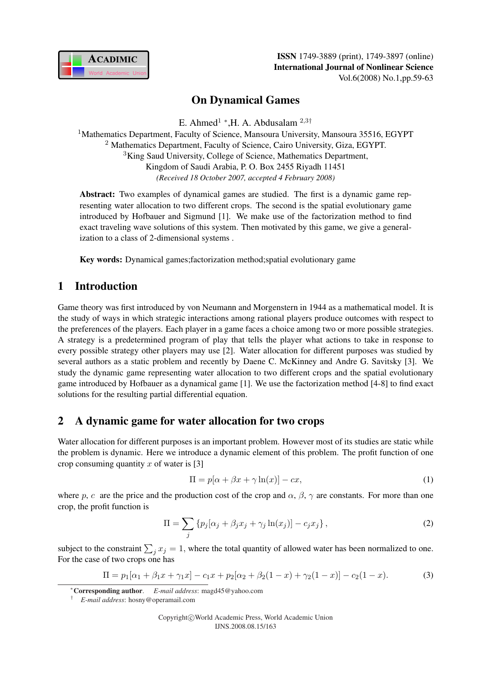

# On Dynamical Games

E. Ahmed<sup>1</sup> \*, H. A. Abdusalam<sup>2,3†</sup>

<sup>1</sup>Mathematics Department, Faculty of Science, Mansoura University, Mansoura 35516, EGYPT <sup>2</sup> Mathematics Department, Faculty of Science, Cairo University, Giza, EGYPT. <sup>3</sup>King Saud University, College of Science, Mathematics Department, Kingdom of Saudi Arabia, P. O. Box 2455 Riyadh 11451 *(Received 18 October 2007, accepted 4 February 2008)*

Abstract: Two examples of dynamical games are studied. The first is a dynamic game representing water allocation to two different crops. The second is the spatial evolutionary game introduced by Hofbauer and Sigmund [1]. We make use of the factorization method to find exact traveling wave solutions of this system. Then motivated by this game, we give a generalization to a class of 2-dimensional systems .

Key words: Dynamical games;factorization method;spatial evolutionary game

# 1 Introduction

Game theory was first introduced by von Neumann and Morgenstern in 1944 as a mathematical model. It is the study of ways in which strategic interactions among rational players produce outcomes with respect to the preferences of the players. Each player in a game faces a choice among two or more possible strategies. A strategy is a predetermined program of play that tells the player what actions to take in response to every possible strategy other players may use [2]. Water allocation for different purposes was studied by several authors as a static problem and recently by Daene C. McKinney and Andre G. Savitsky [3]. We study the dynamic game representing water allocation to two different crops and the spatial evolutionary game introduced by Hofbauer as a dynamical game [1]. We use the factorization method [4-8] to find exact solutions for the resulting partial differential equation.

## 2 A dynamic game for water allocation for two crops

Water allocation for different purposes is an important problem. However most of its studies are static while the problem is dynamic. Here we introduce a dynamic element of this problem. The profit function of one crop consuming quantity  $x$  of water is [3]

$$
\Pi = p[\alpha + \beta x + \gamma \ln(x)] - cx,\tag{1}
$$

where p, c are the price and the production cost of the crop and  $\alpha$ ,  $\beta$ ,  $\gamma$  are constants. For more than one crop, the profit function is

$$
\Pi = \sum_{j} \left\{ p_j [\alpha_j + \beta_j x_j + \gamma_j \ln(x_j)] - c_j x_j \right\},\tag{2}
$$

subject to the constraint  $\sum_j x_j = 1$ , where the total quantity of allowed water has been normalized to one. For the case of two crops one has

$$
\Pi = p_1[\alpha_1 + \beta_1 x + \gamma_1 x] - c_1 x + p_2[\alpha_2 + \beta_2 (1 - x) + \gamma_2 (1 - x)] - c_2 (1 - x). \tag{3}
$$

<sup>∗</sup>Corresponding author. *E-mail address*: magd45@yahoo.com

<sup>†</sup> *E-mail address*: hosny@operamail.com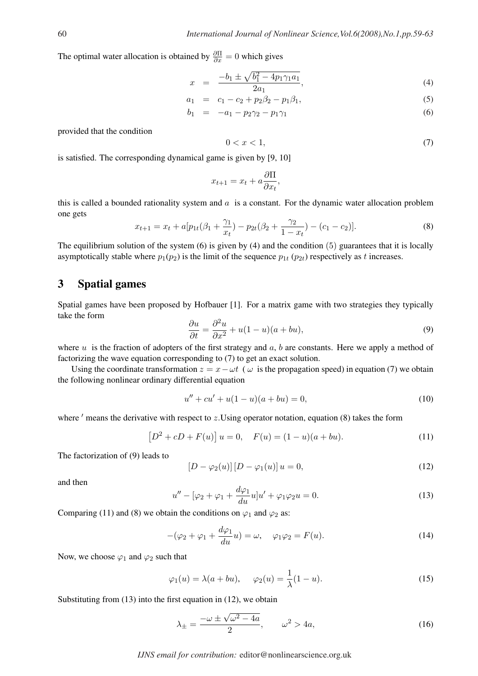The optimal water allocation is obtained by  $\frac{\partial \Pi}{\partial x} = 0$  which gives

$$
x = \frac{-b_1 \pm \sqrt{b_1^2 - 4p_1\gamma_1 a_1}}{2a_1},
$$
\n(4)

$$
a_1 = c_1 - c_2 + p_2 \beta_2 - p_1 \beta_1,\tag{5}
$$

$$
b_1 = -a_1 - p_2 \gamma_2 - p_1 \gamma_1 \tag{6}
$$

provided that the condition

$$
0 < x < 1,\tag{7}
$$

is satisfied. The corresponding dynamical game is given by [9, 10]

$$
x_{t+1} = x_t + a \frac{\partial \Pi}{\partial x_t},
$$

this is called a bounded rationality system and  $a$  is a constant. For the dynamic water allocation problem one gets

$$
x_{t+1} = x_t + a[p_{1t}(\beta_1 + \frac{\gamma_1}{x_t}) - p_{2t}(\beta_2 + \frac{\gamma_2}{1 - x_t}) - (c_1 - c_2)].
$$
\n(8)

The equilibrium solution of the system (6) is given by (4) and the condition (5) guarantees that it is locally asymptotically stable where  $p_1(p_2)$  is the limit of the sequence  $p_{1t}$  ( $p_{2t}$ ) respectively as t increases.

## 3 Spatial games

Spatial games have been proposed by Hofbauer [1]. For a matrix game with two strategies they typically take the form

$$
\frac{\partial u}{\partial t} = \frac{\partial^2 u}{\partial x^2} + u(1 - u)(a + bu),\tag{9}
$$

where  $u$  is the fraction of adopters of the first strategy and  $a$ ,  $b$  are constants. Here we apply a method of factorizing the wave equation corresponding to (7) to get an exact solution.

Using the coordinate transformation  $z = x - \omega t$  (  $\omega$  is the propagation speed) in equation (7) we obtain the following nonlinear ordinary differential equation

$$
u'' + cu' + u(1 - u)(a + bu) = 0,\t(10)
$$

where  $'$  means the derivative with respect to  $z$ . Using operator notation, equation (8) takes the form

$$
[D2 + cD + F(u)] u = 0, \quad F(u) = (1 - u)(a + bu).
$$
 (11)

The factorization of (9) leads to

$$
[D - \varphi_2(u)] [D - \varphi_1(u)] u = 0,
$$
\n(12)

and then

$$
u'' - [\varphi_2 + \varphi_1 + \frac{d\varphi_1}{du}u]u' + \varphi_1\varphi_2 u = 0.
$$
\n(13)

Comparing (11) and (8) we obtain the conditions on  $\varphi_1$  and  $\varphi_2$  as:

$$
-(\varphi_2 + \varphi_1 + \frac{d\varphi_1}{du}u) = \omega, \quad \varphi_1\varphi_2 = F(u). \tag{14}
$$

Now, we choose  $\varphi_1$  and  $\varphi_2$  such that

$$
\varphi_1(u) = \lambda(a + bu), \quad \varphi_2(u) = \frac{1}{\lambda}(1 - u). \tag{15}
$$

Substituting from (13) into the first equation in (12), we obtain

$$
\lambda_{\pm} = \frac{-\omega \pm \sqrt{\omega^2 - 4a}}{2}, \qquad \omega^2 > 4a,\tag{16}
$$

#### *IJNS email for contribution:* editor@nonlinearscience.org.uk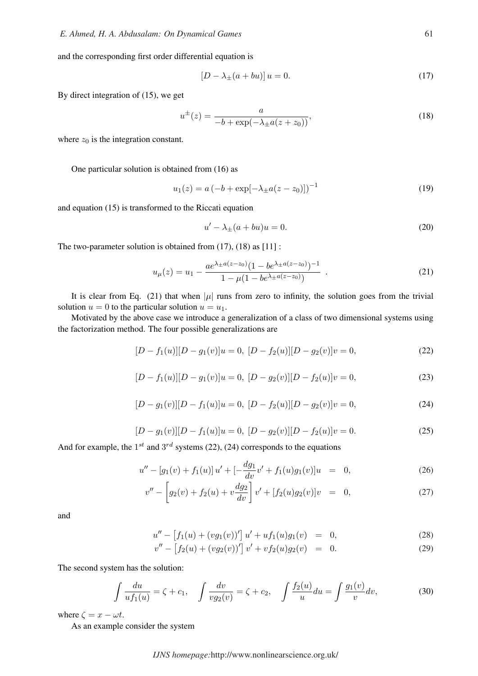and the corresponding first order differential equation is

$$
[D - \lambda_{\pm}(a + bu)] u = 0. \tag{17}
$$

By direct integration of (15), we get

$$
u^{\pm}(z) = \frac{a}{-b + \exp(-\lambda_{\pm}a(z + z_0))},
$$
\n(18)

where  $z_0$  is the integration constant.

One particular solution is obtained from (16) as

$$
u_1(z) = a(-b + \exp[-\lambda_{\pm}a(z - z_0)])^{-1}
$$
 (19)

and equation (15) is transformed to the Riccati equation

$$
u' - \lambda_{\pm}(a + bu)u = 0. \tag{20}
$$

The two-parameter solution is obtained from (17), (18) as [11] :

$$
u_{\mu}(z) = u_1 - \frac{ae^{\lambda \pm a(z-z_0)}(1 - be^{\lambda \pm a(z-z_0)})^{-1}}{1 - \mu(1 - be^{\lambda \pm a(z-z_0)})} . \tag{21}
$$

It is clear from Eq. (21) that when  $|\mu|$  runs from zero to infinity, the solution goes from the trivial solution  $u = 0$  to the particular solution  $u = u_1$ .

Motivated by the above case we introduce a generalization of a class of two dimensional systems using the factorization method. The four possible generalizations are

$$
[D - f1(u)][D - g1(v)]u = 0, [D - f2(u)][D - g2(v)]v = 0,
$$
\n(22)

$$
[D - f1(u)][D - g1(v)]u = 0, [D - g2(v)][D - f2(u)]v = 0,
$$
\n(23)

$$
[D - g_1(v)][D - f_1(u)]u = 0, [D - f_2(u)][D - g_2(v)]v = 0,
$$
\n(24)

$$
[D - g_1(v)][D - f_1(u)]u = 0, [D - g_2(v)][D - f_2(u)]v = 0.
$$
\n(25)

And for example, the  $1^{st}$  and  $3^{rd}$  systems (22), (24) corresponds to the equations

$$
u'' - [g_1(v) + f_1(u)]u' + [-\frac{dg_1}{dv}v' + f_1(u)g_1(v)]u = 0,
$$
\n(26)

$$
v'' - \left[g_2(v) + f_2(u) + v\frac{dg_2}{dv}\right]v' + [f_2(u)g_2(v)]v = 0,
$$
\n(27)

and

$$
u'' - [f_1(u) + (vg_1(v))'] u' + uf_1(u)g_1(v) = 0,
$$
\n(28)

$$
v'' - [f_2(u) + (vg_2(v))'] v' + vf_2(u)g_2(v) = 0.
$$
 (29)

The second system has the solution:

$$
\int \frac{du}{u f_1(u)} = \zeta + c_1, \quad \int \frac{dv}{v g_2(v)} = \zeta + c_2, \quad \int \frac{f_2(u)}{u} du = \int \frac{g_1(v)}{v} dv,
$$
\n(30)

where  $\zeta = x - \omega t$ .

As an example consider the system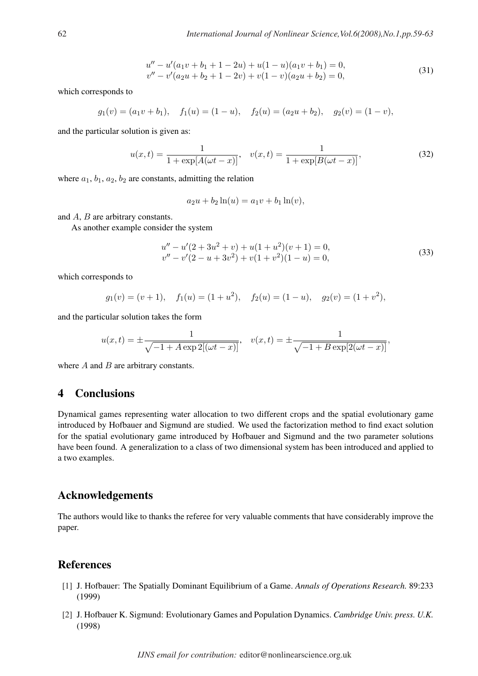$$
u'' - u'(a_1v + b_1 + 1 - 2u) + u(1 - u)(a_1v + b_1) = 0,
$$
  
\n
$$
v'' - v'(a_2u + b_2 + 1 - 2v) + v(1 - v)(a_2u + b_2) = 0,
$$
\n(31)

which corresponds to

$$
g_1(v) = (a_1v + b_1),
$$
  $f_1(u) = (1 - u),$   $f_2(u) = (a_2u + b_2),$   $g_2(v) = (1 - v),$ 

and the particular solution is given as:

$$
u(x,t) = \frac{1}{1 + \exp[A(\omega t - x)]}, \quad v(x,t) = \frac{1}{1 + \exp[B(\omega t - x)]},
$$
\n(32)

where  $a_1$ ,  $b_1$ ,  $a_2$ ,  $b_2$  are constants, admitting the relation

$$
a_2u + b_2 \ln(u) = a_1v + b_1 \ln(v),
$$

and A, B are arbitrary constants.

As another example consider the system

$$
u'' - u'(2 + 3u2 + v) + u(1 + u2)(v + 1) = 0,v'' - v'(2 - u + 3v2) + v(1 + v2)(1 - u) = 0,
$$
\n(33)

which corresponds to

$$
g_1(v) = (v+1),
$$
  $f_1(u) = (1+u^2),$   $f_2(u) = (1-u),$   $g_2(v) = (1+v^2),$ 

and the particular solution takes the form

$$
u(x,t) = \pm \frac{1}{\sqrt{-1 + A \exp 2[(\omega t - x)]}}, \quad v(x,t) = \pm \frac{1}{\sqrt{-1 + B \exp[2(\omega t - x)]}},
$$

where  $A$  and  $B$  are arbitrary constants.

## 4 Conclusions

Dynamical games representing water allocation to two different crops and the spatial evolutionary game introduced by Hofbauer and Sigmund are studied. We used the factorization method to find exact solution for the spatial evolutionary game introduced by Hofbauer and Sigmund and the two parameter solutions have been found. A generalization to a class of two dimensional system has been introduced and applied to a two examples.

### Acknowledgements

The authors would like to thanks the referee for very valuable comments that have considerably improve the paper.

## References

- [1] J. Hofbauer: The Spatially Dominant Equilibrium of a Game. *Annals of Operations Research.* 89:233 (1999)
- [2] J. Hofbauer K. Sigmund: Evolutionary Games and Population Dynamics. *Cambridge Univ. press. U.K.* (1998)